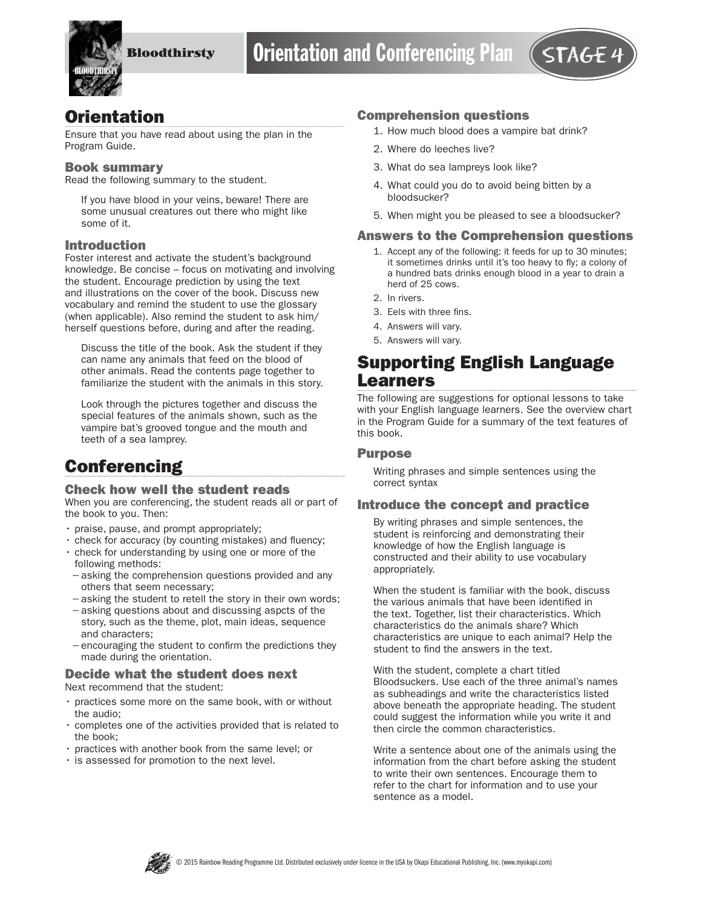

## **Orientation**

Ensure that you have read about using the plan in the Program Guide.

#### Book summary

Read the following summary to the student.

If you have blood in your veins, beware! There are some unusual creatures out there who might like some of it.

#### Introduction

Foster interest and activate the student's background knowledge. Be concise – focus on motivating and involving the student. Encourage prediction by using the text and illustrations on the cover of the book. Discuss new vocabulary and remind the student to use the glossary (when applicable). Also remind the student to ask him/ herself questions before, during and after the reading.

Discuss the title of the book. Ask the student if they can name any animals that feed on the blood of other animals. Read the contents page together to familiarize the student with the animals in this story.

Look through the pictures together and discuss the special features of the animals shown, such as the vampire bat's grooved tongue and the mouth and teeth of a sea lamprey.

# **Conferencing**

#### Check how well the student reads

When you are conferencing, the student reads all or part of the book to you. Then:

- praise, pause, and prompt appropriately;
- check for accuracy (by counting mistakes) and fluency;
- check for understanding by using one or more of the following methods:
- −asking the comprehension questions provided and any others that seem necessary;
- −asking the student to retell the story in their own words;
- −asking questions about and discussing aspcts of the story, such as the theme, plot, main ideas, sequence and characters;
- −encouraging the student to confirm the predictions they made during the orientation.

#### Decide what the student does next Next recommend that the student:

- practices some more on the same book, with or without the audio;
- completes one of the activities provided that is related to the book;
- practices with another book from the same level; or
- is assessed for promotion to the next level.

#### Comprehension questions

- 1. How much blood does a vampire bat drink?
- 2. Where do leeches live?
- 3. What do sea lampreys look like?
- 4. What could you do to avoid being bitten by a bloodsucker?
- 5. When might you be pleased to see a bloodsucker?

### Answers to the Comprehension questions

- 1. Accept any of the following: it feeds for up to 30 minutes; it sometimes drinks until it's too heavy to fly; a colony of a hundred bats drinks enough blood in a year to drain a herd of 25 cows.
- 2. In rivers.
- 3. Eels with three fins.
- 4. Answers will vary.
- 5. Answers will vary.

## Supporting English Language Learners

The following are suggestions for optional lessons to take with your English language learners. See the overview chart in the Program Guide for a summary of the text features of this book.

#### Purpose

Writing phrases and simple sentences using the correct syntax

### Introduce the concept and practice

By writing phrases and simple sentences, the student is reinforcing and demonstrating their knowledge of how the English language is constructed and their ability to use vocabulary appropriately.

When the student is familiar with the book, discuss the various animals that have been identified in the text. Together, list their characteristics. Which characteristics do the animals share? Which characteristics are unique to each animal? Help the student to find the answers in the text.

With the student, complete a chart titled Bloodsuckers. Use each of the three animal's names as subheadings and write the characteristics listed above beneath the appropriate heading. The student could suggest the information while you write it and then circle the common characteristics.

Write a sentence about one of the animals using the information from the chart before asking the student to write their own sentences. Encourage them to refer to the chart for information and to use your sentence as a model.

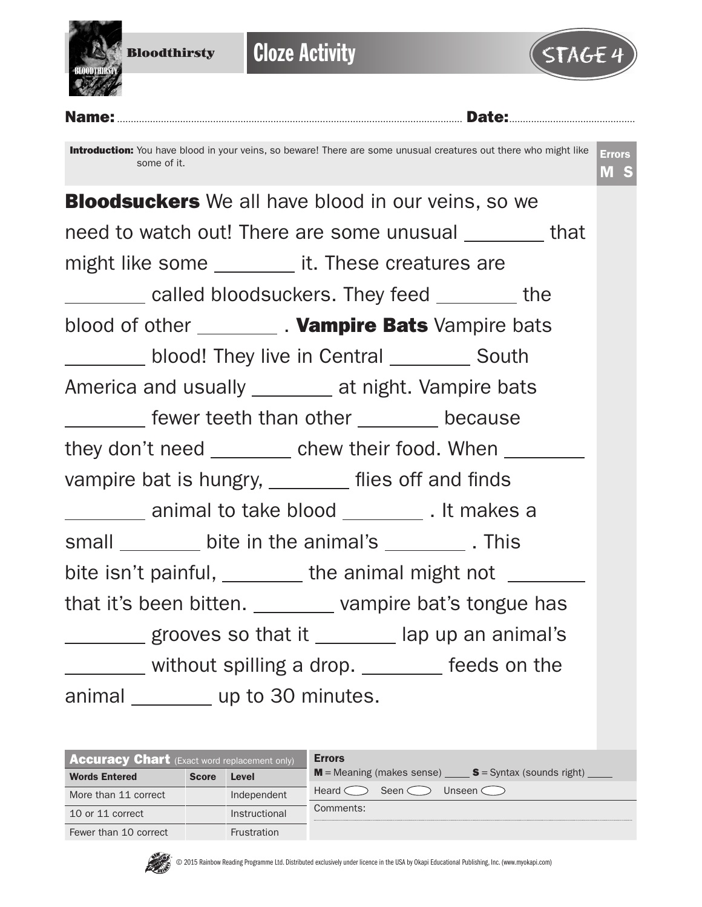

**Cloze Activity** 



Name:.............................................................................................................................. Date:.............................................. Introduction: You have blood in your veins, so beware! There are some unusual creatures out there who might like some of it. Errors M S **Bloodsuckers** We all have blood in our veins, so we need to watch out! There are some unusual that might like some \_\_\_\_\_\_\_\_\_ it. These creatures are called bloodsuckers. They feed the blood of other \_\_\_\_\_\_\_\_\_. Vampire Bats Vampire bats blood! They live in Central \_\_\_\_\_\_\_\_\_ South America and usually \_\_\_\_\_\_\_ at night. Vampire bats **Fig.** Fewer teeth than other **constants** because they don't need \_\_\_\_\_\_\_\_ chew their food. When \_\_\_\_\_\_\_ vampire bat is hungry, \_\_\_\_\_\_\_ flies off and finds animal to take blood . It makes a small bite in the animal's This bite isn't painful,  $\frac{1}{\sqrt{1-\frac{1}{\sqrt{1-\frac{1}{\sqrt{1-\frac{1}{\sqrt{1-\frac{1}{\sqrt{1-\frac{1}{\sqrt{1-\frac{1}{\sqrt{1-\frac{1}{\sqrt{1-\frac{1}{\sqrt{1-\frac{1}{\sqrt{1-\frac{1}{\sqrt{1-\frac{1}{\sqrt{1-\frac{1}{\sqrt{1-\frac{1}{\sqrt{1-\frac{1}{\sqrt{1-\frac{1}{\sqrt{1-\frac{1}{\sqrt{1-\frac{1}{\sqrt{1-\frac{1}{\sqrt{1-\frac{1}{\sqrt{1-\frac{1}{\sqrt{1-\frac{1}{\sqrt{1-\frac$ that it's been bitten. vampire bat's tongue has grooves so that it lap up an animal's without spilling a drop. \_\_\_\_\_\_\_ feeds on the animal \_\_\_\_\_\_\_\_ up to 30 minutes.

| <b>Accuracy Chart</b> (Exact word replacement only) |              |               | <b>Errors</b>                                           |  |  |  |  |  |
|-----------------------------------------------------|--------------|---------------|---------------------------------------------------------|--|--|--|--|--|
| <b>Words Entered</b>                                | <b>Score</b> | Level         | $M$ = Meaning (makes sense) $S$ = Syntax (sounds right) |  |  |  |  |  |
| More than 11 correct                                |              | Independent   | Heard <<br>Seen $\subset$<br>Unseen $\langle \rangle$   |  |  |  |  |  |
| 10 or 11 correct                                    |              | Instructional | Comments:                                               |  |  |  |  |  |
| Fewer than 10 correct                               |              | Frustration   |                                                         |  |  |  |  |  |

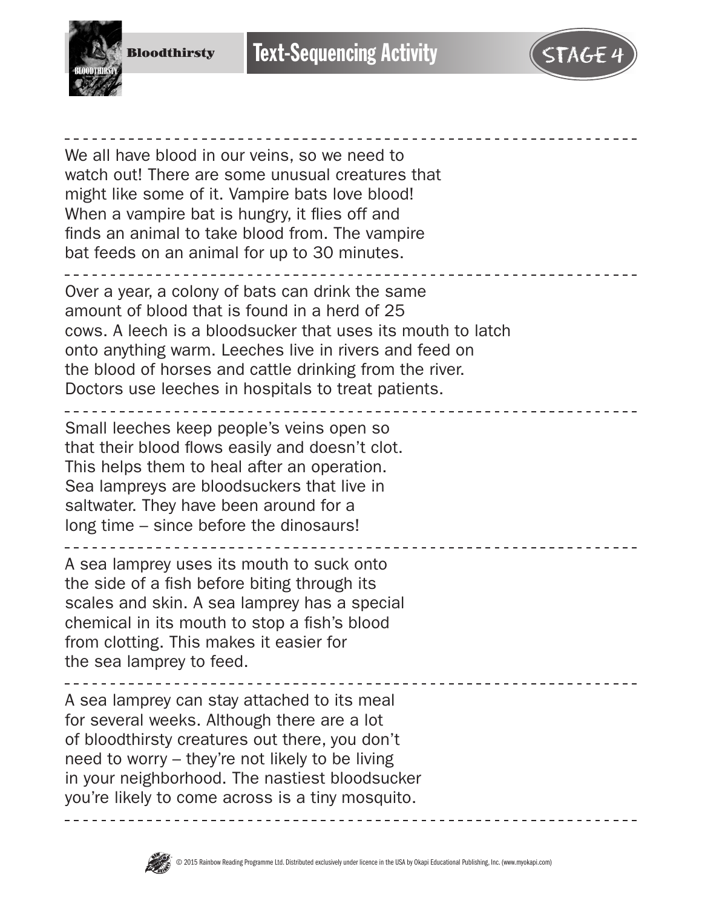



We all have blood in our veins, so we need to watch out! There are some unusual creatures that might like some of it. Vampire bats love blood! When a vampire bat is hungry, it flies off and finds an animal to take blood from. The vampire bat feeds on an animal for up to 30 minutes.

Over a year, a colony of bats can drink the same amount of blood that is found in a herd of 25 cows. A leech is a bloodsucker that uses its mouth to latch onto anything warm. Leeches live in rivers and feed on the blood of horses and cattle drinking from the river. Doctors use leeches in hospitals to treat patients.

Small leeches keep people's veins open so that their blood flows easily and doesn't clot. This helps them to heal after an operation. Sea lampreys are bloodsuckers that live in saltwater. They have been around for a long time – since before the dinosaurs!

\_\_\_\_\_\_\_\_\_\_\_\_\_\_\_\_\_\_\_\_\_\_\_\_\_\_\_\_ A sea lamprey uses its mouth to suck onto the side of a fish before biting through its scales and skin. A sea lamprey has a special chemical in its mouth to stop a fish's blood

from clotting. This makes it easier for the sea lamprey to feed.

A sea lamprey can stay attached to its meal for several weeks. Although there are a lot of bloodthirsty creatures out there, you don't need to worry – they're not likely to be living in your neighborhood. The nastiest bloodsucker you're likely to come across is a tiny mosquito.



. <u>. . . . . . . . . . . . . .</u>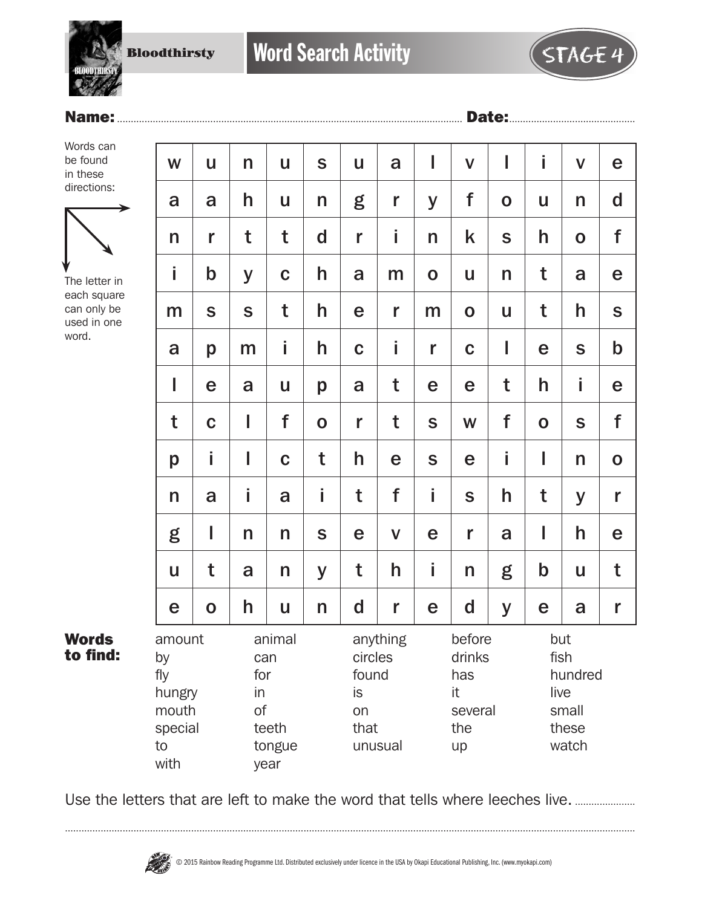**Bloodthirsty** 



### Name:.............................................................................................................................. Date:..............................................

Words can be found in these directions:



The letter in each square can only be used in one word.

| W                                                               | $\mathbf{u}$ | n                      | u                                 | S            | U                                           | a                   | I           | $\mathsf{V}$                                          | I           | i           | $\mathbf v$                                | e            |
|-----------------------------------------------------------------|--------------|------------------------|-----------------------------------|--------------|---------------------------------------------|---------------------|-------------|-------------------------------------------------------|-------------|-------------|--------------------------------------------|--------------|
| a                                                               | a            | h                      | U                                 | $\mathsf{n}$ | g                                           | r                   | y           | f                                                     | $\mathbf O$ | U           | n                                          | $\mathsf{d}$ |
| n                                                               | r            | t                      | t                                 | $\mathbf d$  | r                                           | İ                   | n           | k                                                     | $\mathbf S$ | h           | $\mathbf 0$                                | f            |
| İ                                                               | $\mathsf b$  | y                      | $\mathbf C$                       | h            | a                                           | m                   | $\mathbf 0$ | U                                                     | n           | t           | a                                          | e            |
| m                                                               | S            | S                      | t                                 | h            | e                                           | r                   | m           | $\mathbf 0$                                           | u           | t           | h                                          | $\mathsf{s}$ |
| a                                                               | p            | m                      | İ                                 | h            | $\mathbf C$                                 | İ                   | r           | $\mathbf C$                                           | I           | e           | S                                          | $\mathsf b$  |
| I                                                               | e            | a                      | U                                 | p            | a                                           | t                   | e           | e                                                     | t           | h           | i                                          | e            |
| t                                                               | $\mathbf C$  | I                      | f                                 | $\mathbf 0$  | r                                           | t                   | $\mathbf S$ | W                                                     | f           | $\mathbf O$ | S                                          | f            |
| p                                                               | İ            | I                      | $\mathbf C$                       | t            | h                                           | e                   | $\mathbf S$ | e                                                     | İ.          | I           | n                                          | $\mathbf 0$  |
| n                                                               | a            | İ.                     | a                                 | İ.           | t                                           | f                   | i           | S                                                     | h           | t           | y                                          | r            |
| g                                                               | I            | n                      | n                                 | $\mathbf S$  | e                                           | $\mathbf v$         | e           | r                                                     | a           | I           | h                                          | e            |
| U                                                               | t            | a                      | n                                 | y            | t                                           | h                   | İ           | n                                                     | g           | $\mathsf b$ | U                                          | t            |
| e                                                               | $\mathbf O$  | h                      | u                                 | n            | $\mathbf d$                                 | r                   | e           | $\mathbf d$                                           | y           | e           | a                                          | r            |
| amount<br>by<br>fly<br>hungry<br>mouth<br>special<br>to<br>with |              | can<br>for<br>in<br>of | animal<br>teeth<br>tongue<br>year |              | circles<br>found<br><b>is</b><br>on<br>that | anything<br>unusual |             | before<br>drinks<br>has<br>it<br>several<br>the<br>up |             | but<br>live | fish<br>hundred<br>small<br>these<br>watch |              |

Words to find:

Use the letters that are left to make the word that tells where leeches live. ................................

................................................................................................................................................................................................................

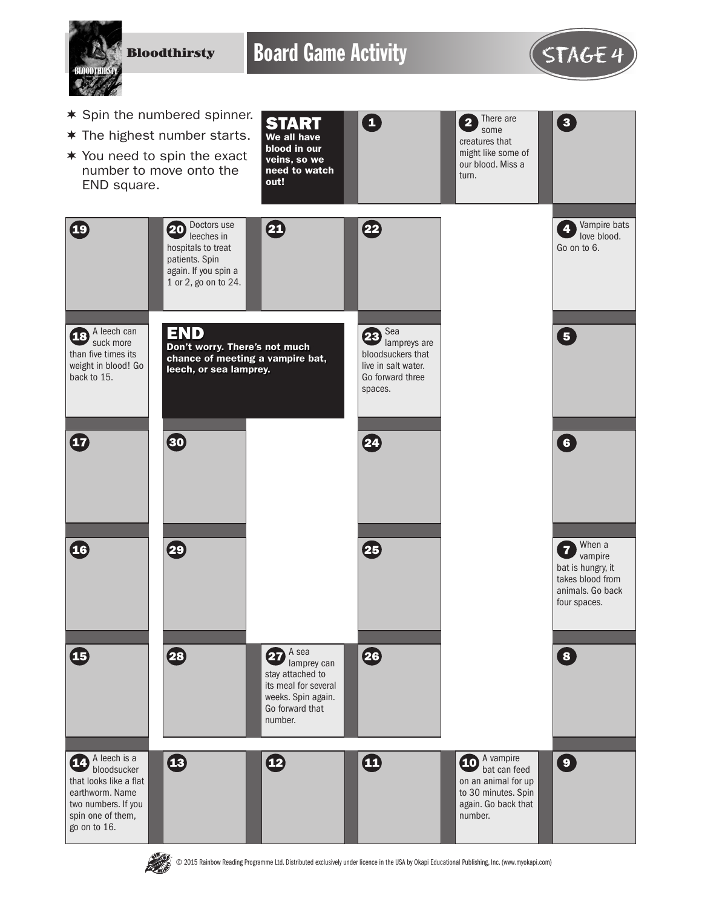**Bloodthirsty** 

Board Game Activity **STAGE 4** 



- $*$  Spin the numbered spinner.
- $*$  The highest number starts.
- $*$  You need to spin the exact number to move onto the END square.





© 2015 Rainbow Reading Programme Ltd. Distributed exclusively under licence in the USA by Okapi Educational Publishing, Inc. (www.myokapi.com)